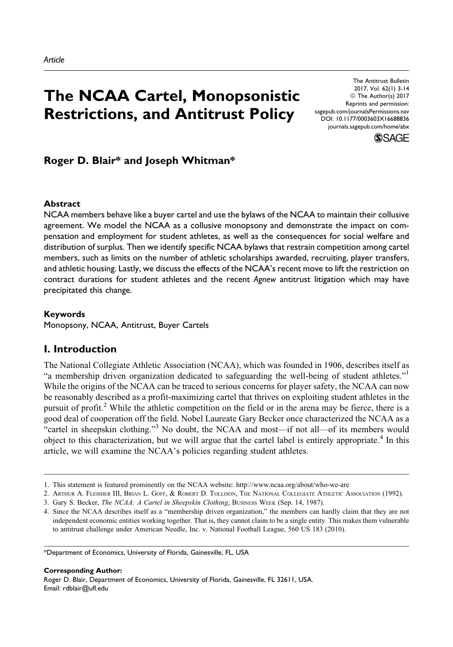# The NCAA Cartel, Monopsonistic Restrictions, and Antitrust Policy

The Antitrust Bulletin 2017, Vol. 62(1) 3-14 © The Author(s) 2017 Reprints and permission: [sagepub.com/journalsPermissions.nav](http://www.sagepub.com/journalsPermissions.nav) [DOI: 10.1177/0003603X16688836](https://doi.org/10.1177/0003603X16688836) [journals.sagepub.com/home/abx](http://journals.sagepub.com/home/abx)



# Roger D. Blair\* and Joseph Whitman\*

#### Abstract

NCAA members behave like a buyer cartel and use the bylaws of the NCAA to maintain their collusive agreement. We model the NCAA as a collusive monopsony and demonstrate the impact on compensation and employment for student athletes, as well as the consequences for social welfare and distribution of surplus. Then we identify specific NCAA bylaws that restrain competition among cartel members, such as limits on the number of athletic scholarships awarded, recruiting, player transfers, and athletic housing. Lastly, we discuss the effects of the NCAA's recent move to lift the restriction on contract durations for student athletes and the recent Agnew antitrust litigation which may have precipitated this change.

#### Keywords

Monopsony, NCAA, Antitrust, Buyer Cartels

# I. Introduction

The National Collegiate Athletic Association (NCAA), which was founded in 1906, describes itself as "a membership driven organization dedicated to safeguarding the well-being of student athletes."<sup>1</sup> While the origins of the NCAA can be traced to serious concerns for player safety, the NCAA can now be reasonably described as a profit-maximizing cartel that thrives on exploiting student athletes in the pursuit of profit.<sup>2</sup> While the athletic competition on the field or in the arena may be fierce, there is a good deal of cooperation off the field. Nobel Laureate Gary Becker once characterized the NCAA as a "cartel in sheepskin clothing."<sup>3</sup> No doubt, the NCAA and most—if not all—of its members would object to this characterization, but we will argue that the cartel label is entirely appropriate.<sup>4</sup> In this article, we will examine the NCAA's policies regarding student athletes.

Corresponding Author:

Roger D. Blair, Department of Economics, University of Florida, Gainesville, FL 32611, USA. Email: rdblair@ufl.edu

<sup>1.</sup> This statement is featured prominently on the NCAA website:<http://www.ncaa.org/about/who-we-are>

<sup>2.</sup> ARTHUR A. FLEISHER III, BRIAN L. GOFF, & ROBERT D. TOLLISON, THE NATIONAL COLLEGIATE ATHLETIC ASSOCIATION (1992).

<sup>3.</sup> Gary S. Becker, The NCAA: A Cartel in Sheepskin Clothing, BUSINESS WEEK (Sep. 14, 1987).

<sup>4.</sup> Since the NCAA describes itself as a "membership driven organization," the members can hardly claim that they are not independent economic entities working together. That is, they cannot claim to be a single entity. This makes them vulnerable to antitrust challenge under American Needle, Inc. v. National Football League, 560 US 183 (2010).

<sup>\*</sup>Department of Economics, University of Florida, Gainesville, FL, USA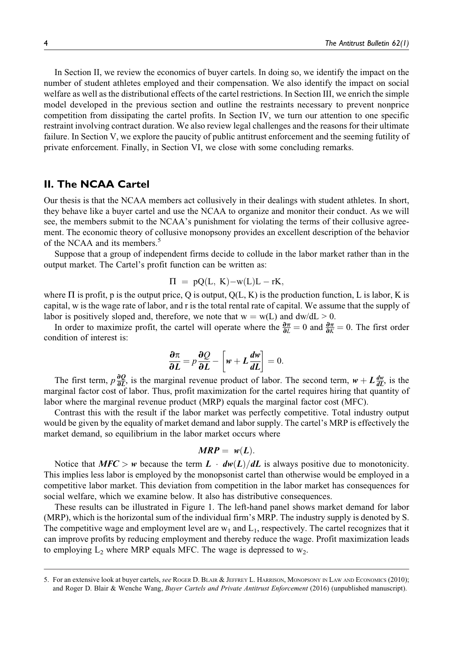In Section II, we review the economics of buyer cartels. In doing so, we identify the impact on the number of student athletes employed and their compensation. We also identify the impact on social welfare as well as the distributional effects of the cartel restrictions. In Section III, we enrich the simple model developed in the previous section and outline the restraints necessary to prevent nonprice competition from dissipating the cartel profits. In Section IV, we turn our attention to one specific restraint involving contract duration. We also review legal challenges and the reasons for their ultimate failure. In Section V, we explore the paucity of public antitrust enforcement and the seeming futility of private enforcement. Finally, in Section VI, we close with some concluding remarks.

# II. The NCAA Cartel

Our thesis is that the NCAA members act collusively in their dealings with student athletes. In short, they behave like a buyer cartel and use the NCAA to organize and monitor their conduct. As we will see, the members submit to the NCAA's punishment for violating the terms of their collusive agreement. The economic theory of collusive monopsony provides an excellent description of the behavior of the NCAA and its members.<sup>5</sup>

Suppose that a group of independent firms decide to collude in the labor market rather than in the output market. The Cartel's profit function can be written as:

$$
\Pi = pQ(L, K) - w(L)L - rK,
$$

where  $\Pi$  is profit, p is the output price, Q is output,  $Q(L, K)$  is the production function, L is labor, K is capital, w is the wage rate of labor, and r is the total rental rate of capital. We assume that the supply of labor is positively sloped and, therefore, we note that  $w = w(L)$  and  $dw/dL > 0$ .

In order to maximize profit, the cartel will operate where the  $\frac{\partial \pi}{\partial L} = 0$  and  $\frac{\partial \pi}{\partial K} = 0$ . The first order condition of interest is:

$$
\frac{\partial \pi}{\partial L} = p \frac{\partial Q}{\partial L} - \left[ w + L \frac{dw}{dL} \right] = 0.
$$

The first term,  $p\frac{\partial Q}{\partial L}$ , is the marginal revenue product of labor. The second term,  $w + L\frac{dw}{dL}$ , is the marginal factor cost of labor. Thus, profit maximization for the cartel requires hiring that quantity of labor where the marginal revenue product (MRP) equals the marginal factor cost (MFC).

Contrast this with the result if the labor market was perfectly competitive. Total industry output would be given by the equality of market demand and labor supply. The cartel's MRP is effectively the market demand, so equilibrium in the labor market occurs where

#### $MRP = w(L)$ .

Notice that  $MFC > w$  because the term  $L \cdot dw(L)/dL$  is always positive due to monotonicity. This implies less labor is employed by the monopsonist cartel than otherwise would be employed in a competitive labor market. This deviation from competition in the labor market has consequences for social welfare, which we examine below. It also has distributive consequences.

These results can be illustrated in Figure 1. The left-hand panel shows market demand for labor (MRP), which is the horizontal sum of the individual firm's MRP. The industry supply is denoted by S. The competitive wage and employment level are  $w_1$  and  $L_1$ , respectively. The cartel recognizes that it can improve profits by reducing employment and thereby reduce the wage. Profit maximization leads to employing  $L_2$  where MRP equals MFC. The wage is depressed to  $w_2$ .

<sup>5.</sup> For an extensive look at buyer cartels, see ROGER D. BLAIR & JEFFREY L. HARRISON, MONOPSONY IN LAW AND ECONOMICS (2010); and Roger D. Blair & Wenche Wang, Buyer Cartels and Private Antitrust Enforcement (2016) (unpublished manuscript).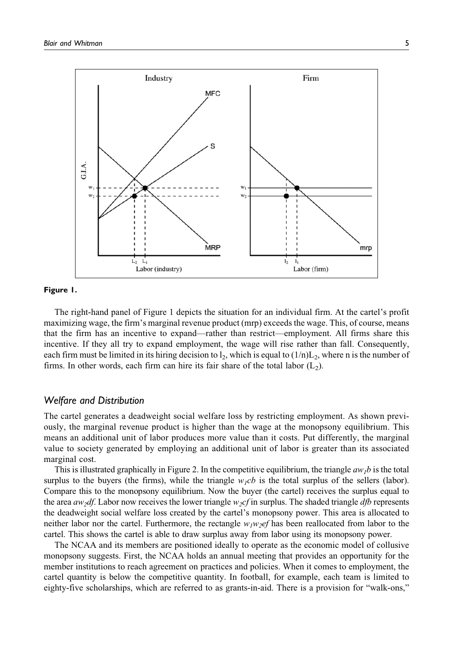

#### Figure 1.

The right-hand panel of Figure 1 depicts the situation for an individual firm. At the cartel's profit maximizing wage, the firm's marginal revenue product (mrp) exceeds the wage. This, of course, means that the firm has an incentive to expand—rather than restrict—employment. All firms share this incentive. If they all try to expand employment, the wage will rise rather than fall. Consequently, each firm must be limited in its hiring decision to  $\vert_2$ , which is equal to  $(1/n)L_2$ , where n is the number of firms. In other words, each firm can hire its fair share of the total labor  $(L_2)$ .

#### Welfare and Distribution

The cartel generates a deadweight social welfare loss by restricting employment. As shown previously, the marginal revenue product is higher than the wage at the monopsony equilibrium. This means an additional unit of labor produces more value than it costs. Put differently, the marginal value to society generated by employing an additional unit of labor is greater than its associated marginal cost.

This is illustrated graphically in Figure 2. In the competitive equilibrium, the triangle  $aw_1b$  is the total surplus to the buyers (the firms), while the triangle  $w_1cb$  is the total surplus of the sellers (labor). Compare this to the monopsony equilibrium. Now the buyer (the cartel) receives the surplus equal to the area  $a w_2 df$ . Labor now receives the lower triangle  $w_2 cf$  in surplus. The shaded triangle  $dfb$  represents the deadweight social welfare loss created by the cartel's monopsony power. This area is allocated to neither labor nor the cartel. Furthermore, the rectangle  $w_1w_2$ ef has been reallocated from labor to the cartel. This shows the cartel is able to draw surplus away from labor using its monopsony power.

The NCAA and its members are positioned ideally to operate as the economic model of collusive monopsony suggests. First, the NCAA holds an annual meeting that provides an opportunity for the member institutions to reach agreement on practices and policies. When it comes to employment, the cartel quantity is below the competitive quantity. In football, for example, each team is limited to eighty-five scholarships, which are referred to as grants-in-aid. There is a provision for "walk-ons,"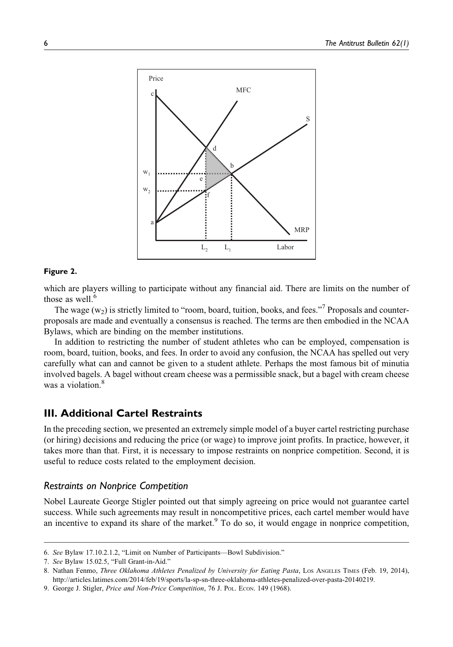

#### Figure 2.

which are players willing to participate without any financial aid. There are limits on the number of those as well. $<sup>6</sup>$ </sup>

The wage  $(w_2)$  is strictly limited to "room, board, tuition, books, and fees."<sup>7</sup> Proposals and counterproposals are made and eventually a consensus is reached. The terms are then embodied in the NCAA Bylaws, which are binding on the member institutions.

In addition to restricting the number of student athletes who can be employed, compensation is room, board, tuition, books, and fees. In order to avoid any confusion, the NCAA has spelled out very carefully what can and cannot be given to a student athlete. Perhaps the most famous bit of minutia involved bagels. A bagel without cream cheese was a permissible snack, but a bagel with cream cheese was a violation.<sup>8</sup>

#### III. Additional Cartel Restraints

In the preceding section, we presented an extremely simple model of a buyer cartel restricting purchase (or hiring) decisions and reducing the price (or wage) to improve joint profits. In practice, however, it takes more than that. First, it is necessary to impose restraints on nonprice competition. Second, it is useful to reduce costs related to the employment decision.

#### Restraints on Nonprice Competition

Nobel Laureate George Stigler pointed out that simply agreeing on price would not guarantee cartel success. While such agreements may result in noncompetitive prices, each cartel member would have an incentive to expand its share of the market. $9$  To do so, it would engage in nonprice competition,

<sup>6.</sup> See Bylaw 17.10.2.1.2, "Limit on Number of Participants—Bowl Subdivision."

<sup>7.</sup> See Bylaw 15.02.5, "Full Grant-in-Aid."

<sup>8.</sup> Nathan Fenmo, Three Oklahoma Athletes Penalized by University for Eating Pasta, Los Angeles Times (Feb. 19, 2014), <http://articles.latimes.com/2014/feb/19/sports/la-sp-sn-three-oklahoma-athletes-penalized-over-pasta-20140219>.

<sup>9.</sup> George J. Stigler, Price and Non-Price Competition, 76 J. Pol. Econ. 149 (1968).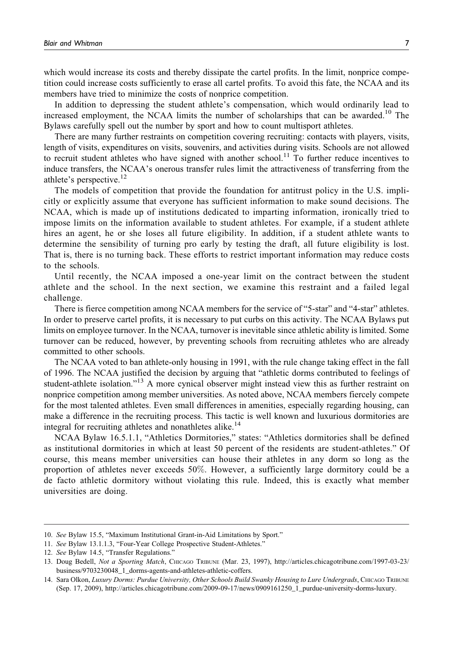which would increase its costs and thereby dissipate the cartel profits. In the limit, nonprice competition could increase costs sufficiently to erase all cartel profits. To avoid this fate, the NCAA and its members have tried to minimize the costs of nonprice competition.

In addition to depressing the student athlete's compensation, which would ordinarily lead to increased employment, the NCAA limits the number of scholarships that can be awarded.<sup>10</sup> The Bylaws carefully spell out the number by sport and how to count multisport athletes.

There are many further restraints on competition covering recruiting: contacts with players, visits, length of visits, expenditures on visits, souvenirs, and activities during visits. Schools are not allowed to recruit student athletes who have signed with another school.<sup>11</sup> To further reduce incentives to induce transfers, the NCAA's onerous transfer rules limit the attractiveness of transferring from the athlete's perspective. $^{12}$ 

The models of competition that provide the foundation for antitrust policy in the U.S. implicitly or explicitly assume that everyone has sufficient information to make sound decisions. The NCAA, which is made up of institutions dedicated to imparting information, ironically tried to impose limits on the information available to student athletes. For example, if a student athlete hires an agent, he or she loses all future eligibility. In addition, if a student athlete wants to determine the sensibility of turning pro early by testing the draft, all future eligibility is lost. That is, there is no turning back. These efforts to restrict important information may reduce costs to the schools.

Until recently, the NCAA imposed a one-year limit on the contract between the student athlete and the school. In the next section, we examine this restraint and a failed legal challenge.

There is fierce competition among NCAA members for the service of "5-star" and "4-star" athletes. In order to preserve cartel profits, it is necessary to put curbs on this activity. The NCAA Bylaws put limits on employee turnover. In the NCAA, turnover is inevitable since athletic ability is limited. Some turnover can be reduced, however, by preventing schools from recruiting athletes who are already committed to other schools.

The NCAA voted to ban athlete-only housing in 1991, with the rule change taking effect in the fall of 1996. The NCAA justified the decision by arguing that "athletic dorms contributed to feelings of student-athlete isolation."<sup>13</sup> A more cynical observer might instead view this as further restraint on nonprice competition among member universities. As noted above, NCAA members fiercely compete for the most talented athletes. Even small differences in amenities, especially regarding housing, can make a difference in the recruiting process. This tactic is well known and luxurious dormitories are integral for recruiting athletes and nonathletes alike.<sup>14</sup>

NCAA Bylaw 16.5.1.1, "Athletics Dormitories," states: "Athletics dormitories shall be defined as institutional dormitories in which at least 50 percent of the residents are student-athletes." Of course, this means member universities can house their athletes in any dorm so long as the proportion of athletes never exceeds 50%. However, a sufficiently large dormitory could be a de facto athletic dormitory without violating this rule. Indeed, this is exactly what member universities are doing.

<sup>10.</sup> See Bylaw 15.5, "Maximum Institutional Grant-in-Aid Limitations by Sport."

<sup>11.</sup> See Bylaw 13.1.1.3, "Four-Year College Prospective Student-Athletes."

<sup>12.</sup> See Bylaw 14.5, "Transfer Regulations."

<sup>13.</sup> Doug Bedell, Not a Sporting Match, CHICAGO TRIBUNE (Mar. 23, 1997), [http://articles.chicagotribune.com/1997-03-23/](http://articles.chicagotribune.com/1997-03-23/business/9703230048_1_dorms-agents-and-athletes-athletic-coffers) [business/9703230048\\_1\\_dorms-agents-and-athletes-athletic-coffers](http://articles.chicagotribune.com/1997-03-23/business/9703230048_1_dorms-agents-and-athletes-athletic-coffers).

<sup>14.</sup> Sara Olkon, Luxury Dorms: Purdue University, Other Schools Build Swanky Housing to Lure Undergrads, CHICAGO TRIBUNE (Sep. 17, 2009), [http://articles.chicagotribune.com/2009-09-17/news/0909161250\\_1\\_purdue-university-dorms-luxury.](http://articles.chicagotribune.com/2009-09-17/news/0909161250_1_purdue-university-dorms-luxury)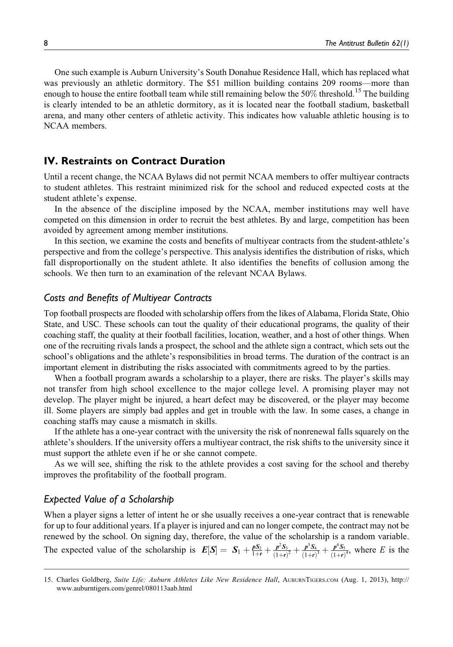One such example is Auburn University's South Donahue Residence Hall, which has replaced what was previously an athletic dormitory. The \$51 million building contains 209 rooms—more than enough to house the entire football team while still remaining below the 50% threshold.<sup>15</sup> The building is clearly intended to be an athletic dormitory, as it is located near the football stadium, basketball arena, and many other centers of athletic activity. This indicates how valuable athletic housing is to NCAA members.

### IV. Restraints on Contract Duration

Until a recent change, the NCAA Bylaws did not permit NCAA members to offer multiyear contracts to student athletes. This restraint minimized risk for the school and reduced expected costs at the student athlete's expense.

In the absence of the discipline imposed by the NCAA, member institutions may well have competed on this dimension in order to recruit the best athletes. By and large, competition has been avoided by agreement among member institutions.

In this section, we examine the costs and benefits of multiyear contracts from the student-athlete's perspective and from the college's perspective. This analysis identifies the distribution of risks, which fall disproportionally on the student athlete. It also identifies the benefits of collusion among the schools. We then turn to an examination of the relevant NCAA Bylaws.

#### Costs and Benefits of Multiyear Contracts

Top football prospects are flooded with scholarship offers from the likes of Alabama, Florida State, Ohio State, and USC. These schools can tout the quality of their educational programs, the quality of their coaching staff, the quality at their football facilities, location, weather, and a host of other things. When one of the recruiting rivals lands a prospect, the school and the athlete sign a contract, which sets out the school's obligations and the athlete's responsibilities in broad terms. The duration of the contract is an important element in distributing the risks associated with commitments agreed to by the parties.

When a football program awards a scholarship to a player, there are risks. The player's skills may not transfer from high school excellence to the major college level. A promising player may not develop. The player might be injured, a heart defect may be discovered, or the player may become ill. Some players are simply bad apples and get in trouble with the law. In some cases, a change in coaching staffs may cause a mismatch in skills.

If the athlete has a one-year contract with the university the risk of nonrenewal falls squarely on the athlete's shoulders. If the university offers a multiyear contract, the risk shifts to the university since it must support the athlete even if he or she cannot compete.

As we will see, shifting the risk to the athlete provides a cost saving for the school and thereby improves the profitability of the football program.

### Expected Value of a Scholarship

When a player signs a letter of intent he or she usually receives a one-year contract that is renewable for up to four additional years. If a player is injured and can no longer compete, the contract may not be renewed by the school. On signing day, therefore, the value of the scholarship is a random variable. The expected value of the scholarship is  $E[S] = S_1 + \frac{pS_2}{1+r} + \frac{p^2S_3}{(1+r)^2} + \frac{p^3S_4}{(1+r)^3} + \frac{p^4S_5}{(1+r)^4}$ , where E is the

<sup>15.</sup> Charles Goldberg, Suite Life: Auburn Athletes Like New Residence Hall, AUBURNTIGERS.COM (Aug. 1, 2013), [http://](http://www.auburntigers.com/genrel/080113aab.html) [www.auburntigers.com/genrel/080113aab.html](http://www.auburntigers.com/genrel/080113aab.html)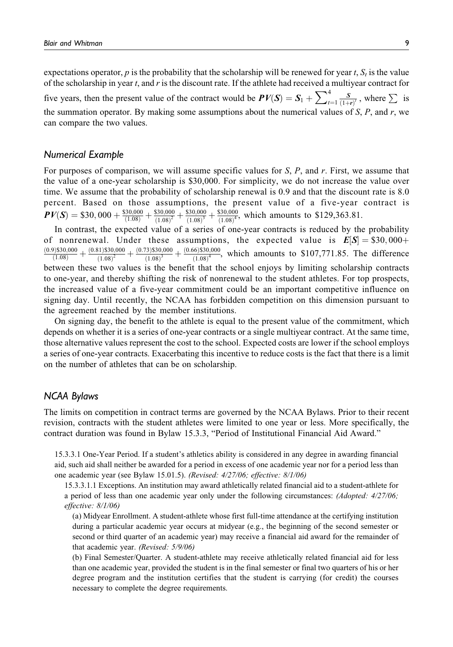expectations operator, p is the probability that the scholarship will be renewed for year t,  $S_t$  is the value of the scholarship in year  $t$ , and  $r$  is the discount rate. If the athlete had received a multiyear contract for five years, then the present value of the contract would be  $PV(S) = S_1 + \sum_{t=1}^{4}$  $\frac{4}{t=1} \frac{S}{(1+r)^t}$ , where  $\sum$  is the summation operator. By making some assumptions about the numerical values of  $S$ ,  $P$ , and  $r$ , we can compare the two values.

### Numerical Example

For purposes of comparison, we will assume specific values for  $S$ ,  $P$ , and  $r$ . First, we assume that the value of a one-year scholarship is \$30,000. For simplicity, we do not increase the value over time. We assume that the probability of scholarship renewal is 0.9 and that the discount rate is 8.0 percent. Based on those assumptions, the present value of a five-year contract is  $PV(S) = $30,000 + \frac{$30,000}{$(1.08)} + \frac{$30,000}{$(1.08)^2} + \frac{$30,000}{$(1.08)^3} + \frac{$30,000}{$(1.08)^4}$ , which amounts to \$129,363.81.

In contrast, the expected value of a series of one-year contracts is reduced by the probability of nonrenewal. Under these assumptions, the expected value is  $E[S] = $30,000+$  $\frac{(0.9) \$30,000}{(1.08)} + \frac{(0.81) \$30,000}{(1.08)^2} + \frac{(0.73) \$30,000}{(1.08)^3} + \frac{(0.66) \$30,000}{(1.08)^4}$ , which amounts to \$107,771.85. The difference  $(1.08)^2$  $(1.08)^3$  $(1.08)^4$ between these two values is the benefit that the school enjoys by limiting scholarship contracts to one-year, and thereby shifting the risk of nonrenewal to the student athletes. For top prospects, the increased value of a five-year commitment could be an important competitive influence on signing day. Until recently, the NCAA has forbidden competition on this dimension pursuant to the agreement reached by the member institutions.

On signing day, the benefit to the athlete is equal to the present value of the commitment, which depends on whether it is a series of one-year contracts or a single multiyear contract. At the same time, those alternative values represent the cost to the school. Expected costs are lower if the school employs a series of one-year contracts. Exacerbating this incentive to reduce costs is the fact that there is a limit on the number of athletes that can be on scholarship.

## NCAA Bylaws

The limits on competition in contract terms are governed by the NCAA Bylaws. Prior to their recent revision, contracts with the student athletes were limited to one year or less. More specifically, the contract duration was found in Bylaw 15.3.3, "Period of Institutional Financial Aid Award."

15.3.3.1 One-Year Period. If a student's athletics ability is considered in any degree in awarding financial aid, such aid shall neither be awarded for a period in excess of one academic year nor for a period less than one academic year (see Bylaw 15.01.5). (Revised: 4/27/06; effective: 8/1/06)

15.3.3.1.1 Exceptions. An institution may award athletically related financial aid to a student-athlete for a period of less than one academic year only under the following circumstances: (Adopted: 4/27/06; effective: 8/1/06)

(a) Midyear Enrollment. A student-athlete whose first full-time attendance at the certifying institution during a particular academic year occurs at midyear (e.g., the beginning of the second semester or second or third quarter of an academic year) may receive a financial aid award for the remainder of that academic year. (Revised: 5/9/06)

(b) Final Semester/Quarter. A student-athlete may receive athletically related financial aid for less than one academic year, provided the student is in the final semester or final two quarters of his or her degree program and the institution certifies that the student is carrying (for credit) the courses necessary to complete the degree requirements.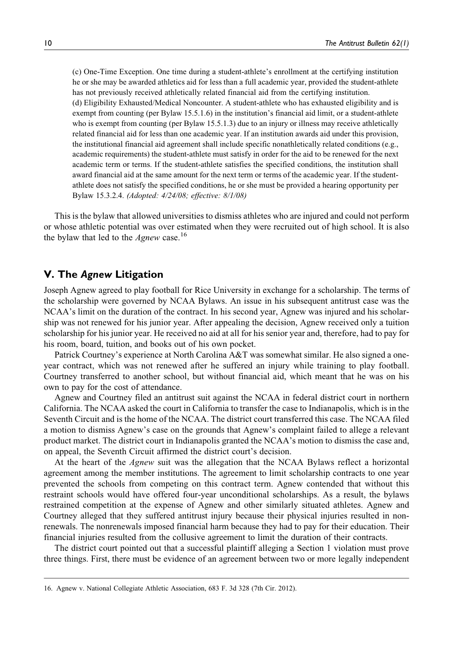(c) One-Time Exception. One time during a student-athlete's enrollment at the certifying institution he or she may be awarded athletics aid for less than a full academic year, provided the student-athlete has not previously received athletically related financial aid from the certifying institution. (d) Eligibility Exhausted/Medical Noncounter. A student-athlete who has exhausted eligibility and is exempt from counting (per Bylaw 15.5.1.6) in the institution's financial aid limit, or a student-athlete who is exempt from counting (per Bylaw 15.5.1.3) due to an injury or illness may receive athletically related financial aid for less than one academic year. If an institution awards aid under this provision, the institutional financial aid agreement shall include specific nonathletically related conditions (e.g., academic requirements) the student-athlete must satisfy in order for the aid to be renewed for the next academic term or terms. If the student-athlete satisfies the specified conditions, the institution shall award financial aid at the same amount for the next term or terms of the academic year. If the studentathlete does not satisfy the specified conditions, he or she must be provided a hearing opportunity per Bylaw 15.3.2.4. (Adopted: 4/24/08; effective: 8/1/08)

This is the bylaw that allowed universities to dismiss athletes who are injured and could not perform or whose athletic potential was over estimated when they were recruited out of high school. It is also the bylaw that led to the  $Agnew$  case.<sup>16</sup>

## V. The Agnew Litigation

Joseph Agnew agreed to play football for Rice University in exchange for a scholarship. The terms of the scholarship were governed by NCAA Bylaws. An issue in his subsequent antitrust case was the NCAA's limit on the duration of the contract. In his second year, Agnew was injured and his scholarship was not renewed for his junior year. After appealing the decision, Agnew received only a tuition scholarship for his junior year. He received no aid at all for his senior year and, therefore, had to pay for his room, board, tuition, and books out of his own pocket.

Patrick Courtney's experience at North Carolina A&T was somewhat similar. He also signed a oneyear contract, which was not renewed after he suffered an injury while training to play football. Courtney transferred to another school, but without financial aid, which meant that he was on his own to pay for the cost of attendance.

Agnew and Courtney filed an antitrust suit against the NCAA in federal district court in northern California. The NCAA asked the court in California to transfer the case to Indianapolis, which is in the Seventh Circuit and is the home of the NCAA. The district court transferred this case. The NCAA filed a motion to dismiss Agnew's case on the grounds that Agnew's complaint failed to allege a relevant product market. The district court in Indianapolis granted the NCAA's motion to dismiss the case and, on appeal, the Seventh Circuit affirmed the district court's decision.

At the heart of the Agnew suit was the allegation that the NCAA Bylaws reflect a horizontal agreement among the member institutions. The agreement to limit scholarship contracts to one year prevented the schools from competing on this contract term. Agnew contended that without this restraint schools would have offered four-year unconditional scholarships. As a result, the bylaws restrained competition at the expense of Agnew and other similarly situated athletes. Agnew and Courtney alleged that they suffered antitrust injury because their physical injuries resulted in nonrenewals. The nonrenewals imposed financial harm because they had to pay for their education. Their financial injuries resulted from the collusive agreement to limit the duration of their contracts.

The district court pointed out that a successful plaintiff alleging a Section 1 violation must prove three things. First, there must be evidence of an agreement between two or more legally independent

<sup>16.</sup> Agnew v. National Collegiate Athletic Association, 683 F. 3d 328 (7th Cir. 2012).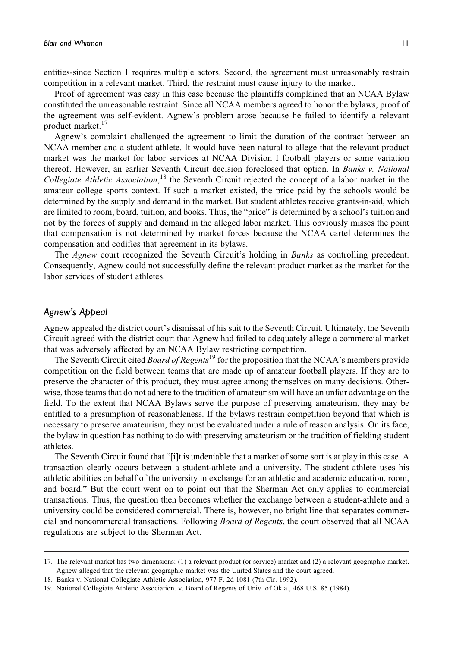entities-since Section 1 requires multiple actors. Second, the agreement must unreasonably restrain competition in a relevant market. Third, the restraint must cause injury to the market.

Proof of agreement was easy in this case because the plaintiffs complained that an NCAA Bylaw constituted the unreasonable restraint. Since all NCAA members agreed to honor the bylaws, proof of the agreement was self-evident. Agnew's problem arose because he failed to identify a relevant product market.<sup>17</sup>

Agnew's complaint challenged the agreement to limit the duration of the contract between an NCAA member and a student athlete. It would have been natural to allege that the relevant product market was the market for labor services at NCAA Division I football players or some variation thereof. However, an earlier Seventh Circuit decision foreclosed that option. In Banks v. National Collegiate Athletic Association,<sup>18</sup> the Seventh Circuit rejected the concept of a labor market in the amateur college sports context. If such a market existed, the price paid by the schools would be determined by the supply and demand in the market. But student athletes receive grants-in-aid, which are limited to room, board, tuition, and books. Thus, the "price" is determined by a school's tuition and not by the forces of supply and demand in the alleged labor market. This obviously misses the point that compensation is not determined by market forces because the NCAA cartel determines the compensation and codifies that agreement in its bylaws.

The Agnew court recognized the Seventh Circuit's holding in Banks as controlling precedent. Consequently, Agnew could not successfully define the relevant product market as the market for the labor services of student athletes.

#### Agnew's Appeal

Agnew appealed the district court's dismissal of his suit to the Seventh Circuit. Ultimately, the Seventh Circuit agreed with the district court that Agnew had failed to adequately allege a commercial market that was adversely affected by an NCAA Bylaw restricting competition.

The Seventh Circuit cited *Board of Regents*<sup>19</sup> for the proposition that the NCAA's members provide competition on the field between teams that are made up of amateur football players. If they are to preserve the character of this product, they must agree among themselves on many decisions. Otherwise, those teams that do not adhere to the tradition of amateurism will have an unfair advantage on the field. To the extent that NCAA Bylaws serve the purpose of preserving amateurism, they may be entitled to a presumption of reasonableness. If the bylaws restrain competition beyond that which is necessary to preserve amateurism, they must be evaluated under a rule of reason analysis. On its face, the bylaw in question has nothing to do with preserving amateurism or the tradition of fielding student athletes.

The Seventh Circuit found that "[i]t is undeniable that a market of some sort is at play in this case. A transaction clearly occurs between a student-athlete and a university. The student athlete uses his athletic abilities on behalf of the university in exchange for an athletic and academic education, room, and board." But the court went on to point out that the Sherman Act only applies to commercial transactions. Thus, the question then becomes whether the exchange between a student-athlete and a university could be considered commercial. There is, however, no bright line that separates commercial and noncommercial transactions. Following Board of Regents, the court observed that all NCAA regulations are subject to the Sherman Act.

<sup>17.</sup> The relevant market has two dimensions: (1) a relevant product (or service) market and (2) a relevant geographic market. Agnew alleged that the relevant geographic market was the United States and the court agreed.

<sup>18.</sup> Banks v. National Collegiate Athletic Association, 977 F. 2d 1081 (7th Cir. 1992).

<sup>19.</sup> National Collegiate Athletic Association. v. Board of Regents of Univ. of Okla., 468 U.S. 85 (1984).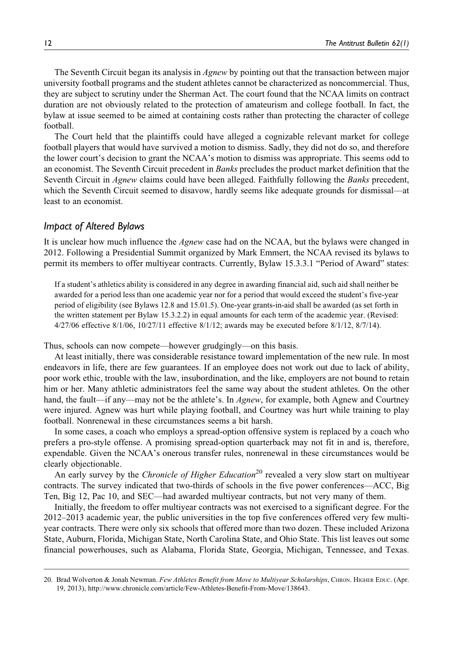The Seventh Circuit began its analysis in Agnew by pointing out that the transaction between major university football programs and the student athletes cannot be characterized as noncommercial. Thus, they are subject to scrutiny under the Sherman Act. The court found that the NCAA limits on contract duration are not obviously related to the protection of amateurism and college football. In fact, the bylaw at issue seemed to be aimed at containing costs rather than protecting the character of college football.

The Court held that the plaintiffs could have alleged a cognizable relevant market for college football players that would have survived a motion to dismiss. Sadly, they did not do so, and therefore the lower court's decision to grant the NCAA's motion to dismiss was appropriate. This seems odd to an economist. The Seventh Circuit precedent in *Banks* precludes the product market definition that the Seventh Circuit in Agnew claims could have been alleged. Faithfully following the *Banks* precedent, which the Seventh Circuit seemed to disavow, hardly seems like adequate grounds for dismissal—at least to an economist.

#### Impact of Altered Bylaws

It is unclear how much influence the *Agnew* case had on the NCAA, but the bylaws were changed in 2012. Following a Presidential Summit organized by Mark Emmert, the NCAA revised its bylaws to permit its members to offer multiyear contracts. Currently, Bylaw 15.3.3.1 "Period of Award" states:

If a student's athletics ability is considered in any degree in awarding financial aid, such aid shall neither be awarded for a period less than one academic year nor for a period that would exceed the student's five-year period of eligibility (see Bylaws 12.8 and 15.01.5). One-year grants-in-aid shall be awarded (as set forth in the written statement per Bylaw 15.3.2.2) in equal amounts for each term of the academic year. (Revised: 4/27/06 effective 8/1/06, 10/27/11 effective 8/1/12; awards may be executed before 8/1/12, 8/7/14).

Thus, schools can now compete—however grudgingly—on this basis.

At least initially, there was considerable resistance toward implementation of the new rule. In most endeavors in life, there are few guarantees. If an employee does not work out due to lack of ability, poor work ethic, trouble with the law, insubordination, and the like, employers are not bound to retain him or her. Many athletic administrators feel the same way about the student athletes. On the other hand, the fault—if any—may not be the athlete's. In Agnew, for example, both Agnew and Courtney were injured. Agnew was hurt while playing football, and Courtney was hurt while training to play football. Nonrenewal in these circumstances seems a bit harsh.

In some cases, a coach who employs a spread-option offensive system is replaced by a coach who prefers a pro-style offense. A promising spread-option quarterback may not fit in and is, therefore, expendable. Given the NCAA's onerous transfer rules, nonrenewal in these circumstances would be clearly objectionable.

An early survey by the *Chronicle of Higher Education*<sup>20</sup> revealed a very slow start on multiyear contracts. The survey indicated that two-thirds of schools in the five power conferences—ACC, Big Ten, Big 12, Pac 10, and SEC—had awarded multiyear contracts, but not very many of them.

Initially, the freedom to offer multiyear contracts was not exercised to a significant degree. For the 2012–2013 academic year, the public universities in the top five conferences offered very few multiyear contracts. There were only six schools that offered more than two dozen. These included Arizona State, Auburn, Florida, Michigan State, North Carolina State, and Ohio State. This list leaves out some financial powerhouses, such as Alabama, Florida State, Georgia, Michigan, Tennessee, and Texas.

<sup>20.</sup> Brad Wolverton & Jonah Newman. Few Athletes Benefit from Move to Multivear Scholarships, CHRON. HIGHER EDUC. (Apr. 19, 2013), [http://www.chronicle.com/article/Few-Athletes-Benefit-From-Move/138643.](http://www.chronicle.com/article/Few-Athletes-Benefit-From-Move/138643)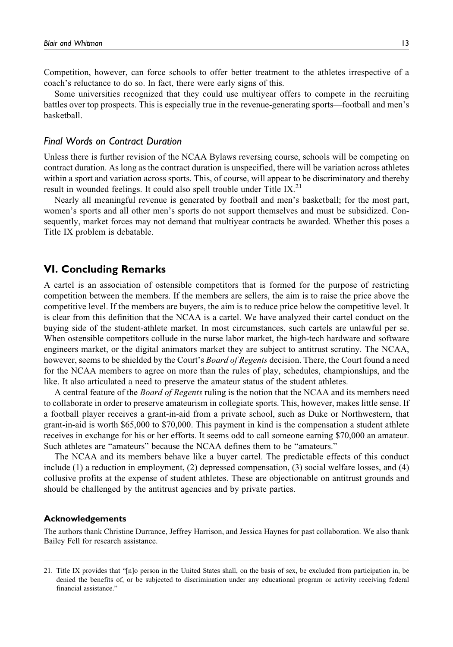Competition, however, can force schools to offer better treatment to the athletes irrespective of a coach's reluctance to do so. In fact, there were early signs of this.

Some universities recognized that they could use multiyear offers to compete in the recruiting battles over top prospects. This is especially true in the revenue-generating sports—football and men's basketball.

#### Final Words on Contract Duration

Unless there is further revision of the NCAA Bylaws reversing course, schools will be competing on contract duration. As long as the contract duration is unspecified, there will be variation across athletes within a sport and variation across sports. This, of course, will appear to be discriminatory and thereby result in wounded feelings. It could also spell trouble under Title IX. $^{21}$ 

Nearly all meaningful revenue is generated by football and men's basketball; for the most part, women's sports and all other men's sports do not support themselves and must be subsidized. Consequently, market forces may not demand that multiyear contracts be awarded. Whether this poses a Title IX problem is debatable.

### VI. Concluding Remarks

A cartel is an association of ostensible competitors that is formed for the purpose of restricting competition between the members. If the members are sellers, the aim is to raise the price above the competitive level. If the members are buyers, the aim is to reduce price below the competitive level. It is clear from this definition that the NCAA is a cartel. We have analyzed their cartel conduct on the buying side of the student-athlete market. In most circumstances, such cartels are unlawful per se. When ostensible competitors collude in the nurse labor market, the high-tech hardware and software engineers market, or the digital animators market they are subject to antitrust scrutiny. The NCAA, however, seems to be shielded by the Court's Board of Regents decision. There, the Court found a need for the NCAA members to agree on more than the rules of play, schedules, championships, and the like. It also articulated a need to preserve the amateur status of the student athletes.

A central feature of the *Board of Regents* ruling is the notion that the NCAA and its members need to collaborate in order to preserve amateurism in collegiate sports. This, however, makes little sense. If a football player receives a grant-in-aid from a private school, such as Duke or Northwestern, that grant-in-aid is worth \$65,000 to \$70,000. This payment in kind is the compensation a student athlete receives in exchange for his or her efforts. It seems odd to call someone earning \$70,000 an amateur. Such athletes are "amateurs" because the NCAA defines them to be "amateurs."

The NCAA and its members behave like a buyer cartel. The predictable effects of this conduct include (1) a reduction in employment, (2) depressed compensation, (3) social welfare losses, and (4) collusive profits at the expense of student athletes. These are objectionable on antitrust grounds and should be challenged by the antitrust agencies and by private parties.

#### Acknowledgements

The authors thank Christine Durrance, Jeffrey Harrison, and Jessica Haynes for past collaboration. We also thank Bailey Fell for research assistance.

<sup>21.</sup> Title IX provides that "[n]o person in the United States shall, on the basis of sex, be excluded from participation in, be denied the benefits of, or be subjected to discrimination under any educational program or activity receiving federal financial assistance."